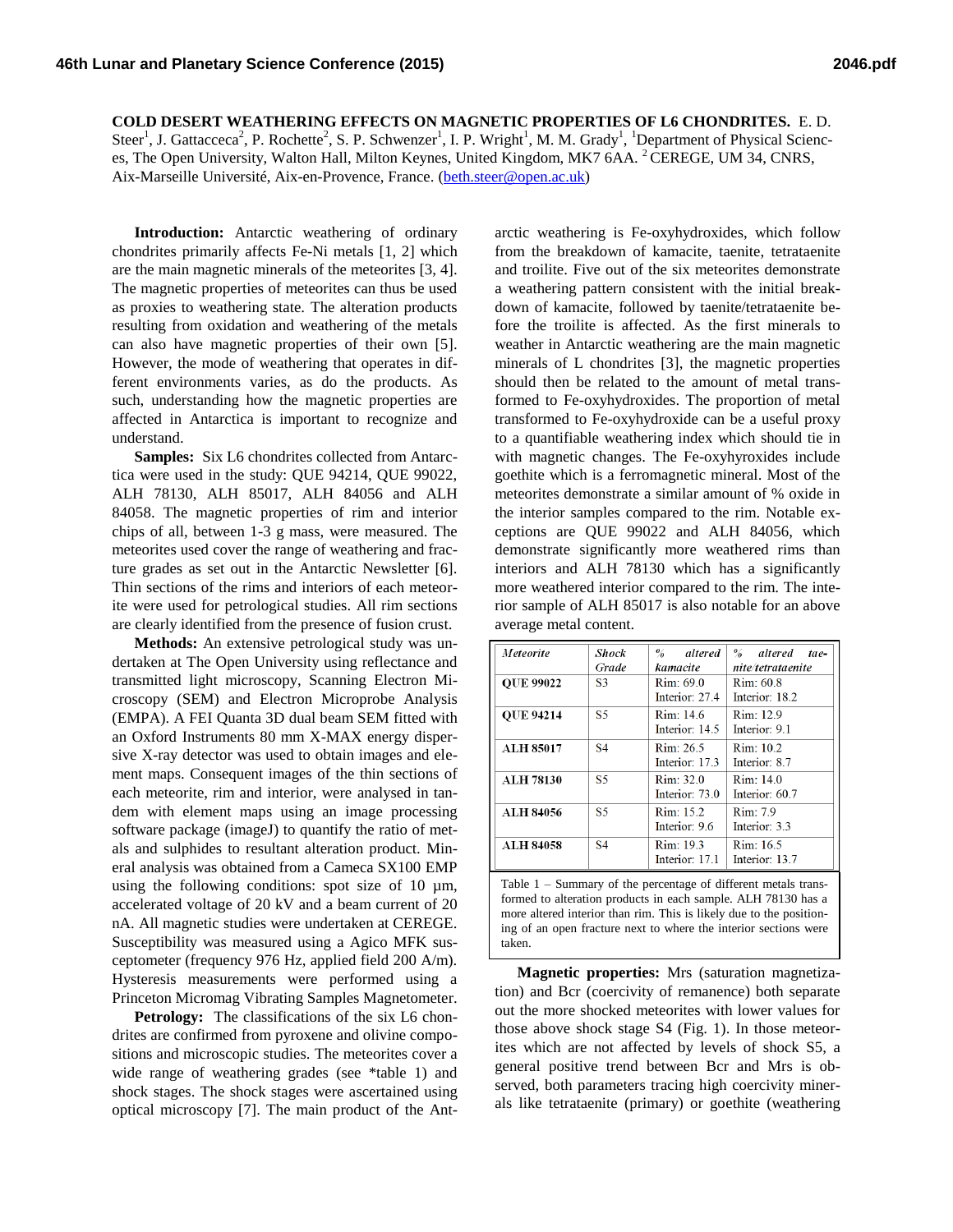**COLD DESERT WEATHERING EFFECTS ON MAGNETIC PROPERTIES OF L6 CHONDRITES.** E. D. Steer<sup>1</sup>, J. Gattacceca<sup>2</sup>, P. Rochette<sup>2</sup>, S. P. Schwenzer<sup>1</sup>, I. P. Wright<sup>1</sup>, M. M. Grady<sup>1</sup>, <sup>1</sup>Department of Physical Sciences, The Open University, Walton Hall, Milton Keynes, United Kingdom, MK7 6AA. <sup>2</sup> CEREGE, UM 34, CNRS, Aix-Marseille Université, Aix-en-Provence, France. [\(beth.steer@open.ac.uk\)](mailto:beth.steer@open.ac.uk)

**Introduction:** Antarctic weathering of ordinary chondrites primarily affects Fe-Ni metals [1, 2] which are the main magnetic minerals of the meteorites [3, 4]. The magnetic properties of meteorites can thus be used as proxies to weathering state. The alteration products resulting from oxidation and weathering of the metals can also have magnetic properties of their own [5]. However, the mode of weathering that operates in different environments varies, as do the products. As such, understanding how the magnetic properties are affected in Antarctica is important to recognize and understand.

**Samples:** Six L6 chondrites collected from Antarctica were used in the study: QUE 94214, QUE 99022, ALH 78130, ALH 85017, ALH 84056 and ALH 84058. The magnetic properties of rim and interior chips of all, between 1-3 g mass, were measured. The meteorites used cover the range of weathering and fracture grades as set out in the Antarctic Newsletter [6]. Thin sections of the rims and interiors of each meteorite were used for petrological studies. All rim sections are clearly identified from the presence of fusion crust.

**Methods:** An extensive petrological study was undertaken at The Open University using reflectance and transmitted light microscopy, Scanning Electron Microscopy (SEM) and Electron Microprobe Analysis (EMPA). A FEI Quanta 3D dual beam SEM fitted with an Oxford Instruments 80 mm X-MAX energy dispersive X-ray detector was used to obtain images and element maps. Consequent images of the thin sections of each meteorite, rim and interior, were analysed in tandem with element maps using an image processing software package (imageJ) to quantify the ratio of metals and sulphides to resultant alteration product. Mineral analysis was obtained from a Cameca SX100 EMP using the following conditions: spot size of 10  $\mu$ m, accelerated voltage of 20 kV and a beam current of 20 nA. All magnetic studies were undertaken at CEREGE. Susceptibility was measured using a Agico MFK susceptometer (frequency 976 Hz, applied field 200 A/m). Hysteresis measurements were performed using a Princeton Micromag Vibrating Samples Magnetometer.

Petrology: The classifications of the six L6 chondrites are confirmed from pyroxene and olivine compositions and microscopic studies. The meteorites cover a wide range of weathering grades (see \*table 1) and shock stages. The shock stages were ascertained using optical microscopy [7]. The main product of the Ant-

arctic weathering is Fe-oxyhydroxides, which follow from the breakdown of kamacite, taenite, tetrataenite and troilite. Five out of the six meteorites demonstrate a weathering pattern consistent with the initial breakdown of kamacite, followed by taenite/tetrataenite before the troilite is affected. As the first minerals to weather in Antarctic weathering are the main magnetic minerals of L chondrites [3], the magnetic properties should then be related to the amount of metal transformed to Fe-oxyhydroxides. The proportion of metal transformed to Fe-oxyhydroxide can be a useful proxy to a quantifiable weathering index which should tie in with magnetic changes. The Fe-oxyhyroxides include goethite which is a ferromagnetic mineral. Most of the meteorites demonstrate a similar amount of % oxide in the interior samples compared to the rim. Notable exceptions are QUE 99022 and ALH 84056, which demonstrate significantly more weathered rims than interiors and ALH 78130 which has a significantly more weathered interior compared to the rim. The interior sample of ALH 85017 is also notable for an above average metal content.

| Meteorite        | Shock<br>Grade | $\frac{6}{2}$<br>altered<br>kamacite | % altered<br>tae-<br>nite/tetrataenite |
|------------------|----------------|--------------------------------------|----------------------------------------|
| <b>OUE 99022</b> | S <sub>3</sub> | Rim: 69.0<br>Interior: 27.4          | Rim: 60.8<br>Interior: 18.2            |
| <b>OUE 94214</b> | <b>S5</b>      | Rim: 14.6<br>Interior: 14.5          | Rim: 12.9<br>Interior: 9.1             |
| <b>ALH 85017</b> | <b>S4</b>      | Rim: 26.5<br>Interior: 17.3          | $R$ im: 10.2<br>Interior: 8.7          |
| <b>ALH 78130</b> | S <sub>5</sub> | Rim: 32.0<br>Interior: 73.0          | Rim: 14.0<br>Interior: 60.7            |
| <b>ALH 84056</b> | S <sub>5</sub> | Rim: 15.2<br>Interior: 9.6           | Rim: 7.9<br>Interior: 3.3              |
| <b>ALH 84058</b> | <b>S4</b>      | Rim: 19.3<br>Interior: 17.1          | Rim: 16.5<br>Interior: 13.7            |

Table 1 – Summary of the percentage of different metals transformed to alteration products in each sample. ALH 78130 has a more altered interior than rim. This is likely due to the positioning of an open fracture next to where the interior sections were taken.

**Magnetic properties:** Mrs (saturation magnetization) and Bcr (coercivity of remanence) both separate out the more shocked meteorites with lower values for those above shock stage S4 (Fig. 1). In those meteorites which are not affected by levels of shock S5, a general positive trend between Bcr and Mrs is observed, both parameters tracing high coercivity minerals like tetrataenite (primary) or goethite (weathering